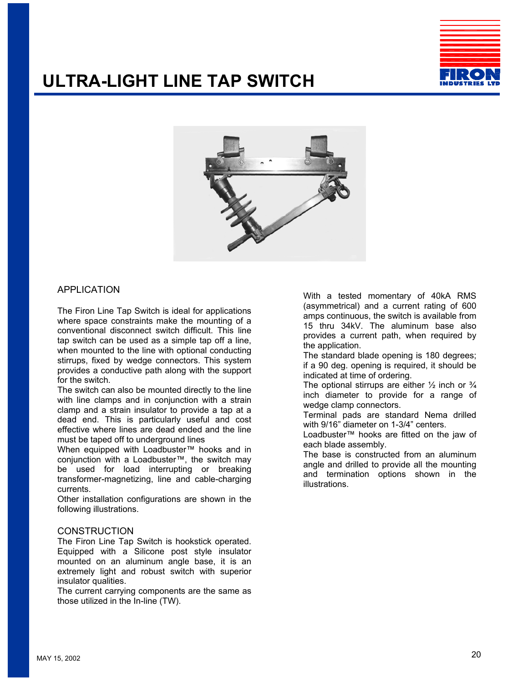### **ULTRA-LIGHT LINE TAP SWITCH**





#### APPLICATION

The Firon Line Tap Switch is ideal for applications where space constraints make the mounting of a conventional disconnect switch difficult. This line tap switch can be used as a simple tap off a line, when mounted to the line with optional conducting stirrups, fixed by wedge connectors. This system provides a conductive path along with the support for the switch.

The switch can also be mounted directly to the line with line clamps and in conjunction with a strain clamp and a strain insulator to provide a tap at a dead end. This is particularly useful and cost effective where lines are dead ended and the line must be taped off to underground lines

When equipped with Loadbuster™ hooks and in conjunction with a Loadbuster™, the switch may be used for load interrupting or breaking transformer-magnetizing, line and cable-charging currents.

Other installation configurations are shown in the following illustrations.

#### **CONSTRUCTION**

The Firon Line Tap Switch is hookstick operated. Equipped with a Silicone post style insulator mounted on an aluminum angle base, it is an extremely light and robust switch with superior insulator qualities.

The current carrying components are the same as those utilized in the In-line (TW).

With a tested momentary of 40kA RMS (asymmetrical) and a current rating of 600 amps continuous, the switch is available from 15 thru 34kV. The aluminum base also provides a current path, when required by the application.

The standard blade opening is 180 degrees; if a 90 deg. opening is required, it should be indicated at time of ordering.

The optional stirrups are either  $\frac{1}{2}$  inch or  $\frac{3}{4}$ inch diameter to provide for a range of wedge clamp connectors.

Terminal pads are standard Nema drilled with 9/16" diameter on 1-3/4" centers.

Loadbuster™ hooks are fitted on the jaw of each blade assembly.

The base is constructed from an aluminum angle and drilled to provide all the mounting and termination options shown in the illustrations.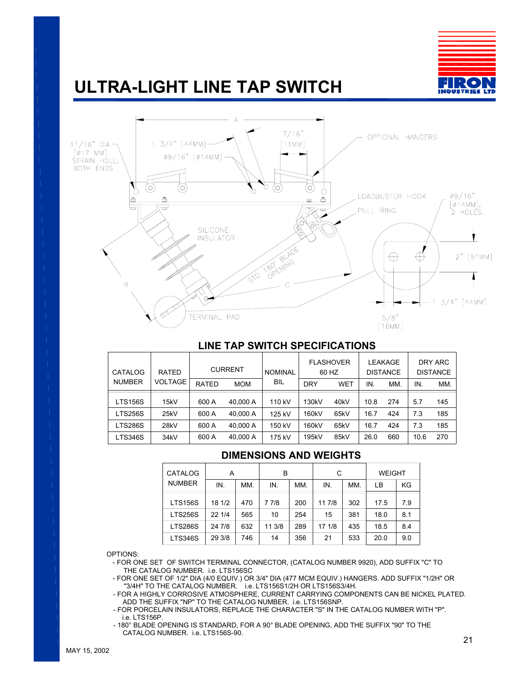# **ULTRA-LIGHT LINE TAP SWITCH**





#### **LINE TAP SWITCH SPECIFICATIONS**

| CATALOG        | <b>RATED</b>      | <b>CURRENT</b> |            | <b>NOMINAL</b> | <b>FLASHOVER</b><br>60 HZ |                   | LEAKAGE<br><b>DISTANCE</b> |     | DRY ARC<br><b>DISTANCE</b> |     |
|----------------|-------------------|----------------|------------|----------------|---------------------------|-------------------|----------------------------|-----|----------------------------|-----|
| <b>NUMBER</b>  | <b>VOLTAGE</b>    | <b>RATED</b>   | <b>MOM</b> | BIL            | <b>DRY</b>                | <b>WET</b>        | IN.                        | MM. | IN.                        | MM. |
| <b>LTS156S</b> | 15kV              | 600 A          | 40.000 A   | 110 kV         | 130 <sub>k</sub> V        | 40 <sub>k</sub> V | 10.8                       | 274 | 5.7                        | 145 |
| LTS256S        | 25kV              | 600 A          | 40.000 A   | 125 kV         | 160kV                     | 65kV              | 16.7                       | 424 | 7.3                        | 185 |
| LTS286S        | 28kV              | 600 A          | 40.000 A   | 150 kV         | 160kV                     | 65kV              | 16.7                       | 424 | 7.3                        | 185 |
| LTS346S        | 34 <sub>k</sub> V | 600 A          | 40.000 A   | 175 kV         | 195kV                     | 85kV              | 26.0                       | 660 | 10.6                       | 270 |

### **DIMENSIONS AND WEIGHTS**

| <b>CATALOG</b> | А      |     | в      |     | С      |     | <b>WEIGHT</b> |     |
|----------------|--------|-----|--------|-----|--------|-----|---------------|-----|
| <b>NUMBER</b>  | IN.    | MM. | IN.    | MM. | IN.    | MM. | LВ            | KG  |
| <b>LTS156S</b> | 18 1/2 | 470 | 7 7/8  | 200 | 11 7/8 | 302 | 17.5          | 7.9 |
| <b>LTS256S</b> | 22 1/4 | 565 | 10     | 254 | 15     | 381 | 18.0          | 8.1 |
| <b>LTS286S</b> | 24 7/8 | 632 | 11 3/8 | 289 | 17 1/8 | 435 | 18.5          | 8.4 |
| <b>LTS346S</b> | 29 3/8 | 746 | 14     | 356 | 21     | 533 | 20.0          | 9.0 |

OPTIONS:

- FOR ONE SET OF SWITCH TERMINAL CONNECTOR, (CATALOG NUMBER 9920), ADD SUFFIX "C" TO THE CATALOG NUMBER. i.e. LTS156SC
- "3/4H" TO THE CATALOG NUMBER. i.e. LTS156S1/2H OR LTS156S3/4H. - FOR ONE SET OF 1/2" DIA (4/0 EQUIV.) OR 3/4" DIA (477 MCM EQUIV.) HANGERS. ADD SUFFIX "1/2H" OR
- FOR A HIGHLY CORROSIVE ATMOSPHERE, CURRENT CARRYING COMPONENTS CAN BE NICKEL PLATED. ADD THE SUFFIX "NP" TO THE CATALOG NUMBER. i.e. LTS156SNP.
- FOR PORCELAIN INSULATORS, REPLACE THE CHARACTER "S" IN THE CATALOG NUMBER WITH "P". i.e. LTS156P.
- 180° BLADE OPENING IS STANDARD, FOR A 90° BLADE OPENING, ADD THE SUFFIX "90" TO THE CATALOG NUMBER. i.e. LTS156S-90. 21